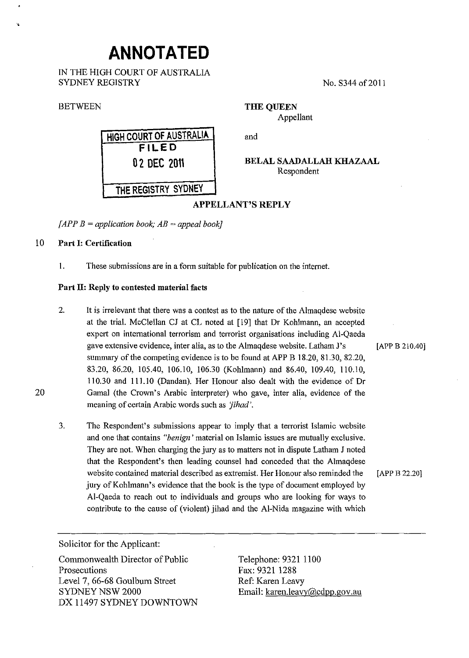# **ANNOTATED**

IN THE HIGH COURT OF AUSTRALIA SYDNEY REGISTRY

#### **BETWEEN**

,,

**HIGH COURT OF AUSTRALIA FILED 0 2 DEC 201\** 

No. S344 of 2011

**THE QUEEN**  Appellant

and

**BELAL SAADALLAH KHAZAAL**  Respondent

## **APPELLANT'S REPLY**

 $\angle$ *[APP B = application book; AB = appeal book]* 

## 10 **Part 1: Certification**

I. These submissions are in a form suitable for publication on the internet.

## **Part ll: Reply to contested material facts**

- 2. It is irrelevant that there was a contest as to the nature of the Almaqdese website at the trial. McClellan CJ at CL noted at [19] that Dr Kohlmann, an accepted expert on international terrorism and terrorist organisations including Al-Qaeda gave extensive evidence, inter alia, as to the Almaqdese website. Latham J's [APP B 210.40] summary of the competing evidence is to be found at APP B 18.20, 81.30, 82.20, 83.20, 86.20, 105.40, 106.10, 106.30 (Kohlmann) and 86.40, 109.40, 110.10, 110.30 and 111.10 (Dandan). Her Honour also dealt with the evidence of Dr Gamal (the Crown's Arabic interpreter) who gave, inter alia, evidence of the meaning of certain Arabic words such as *'jihad'.*
- 3. The Respondent's submissions appear to imply that a terrorist Islamic website and one that contains *"benign'* material on Islamic issues are mutually exclusive. They are not. When charging the jury as to matters not in dispute Latham J noted that the Respondent's then leading counsel had conceded that the Almaqdese website contained material described as extremist. Her Honour also reminded the [APP B 22.20] jury of Kohlmann's evidence that the book is the type of document employed by Al-Qaeda to reach out to individuals and groups who are looking for ways to contribute to the cause of (violent) jihad and the AI-Nida magazine with which

Solicitor for the Applicant:

Commonwealth Director of Public Prosecutions Level 7, 66-68 Goulburn Street SYDNEY NSW 2000 DX 11497 SYDNEY DOWNTOWN

Telephone: 9321 1100 Fax: 9321 1288 Ref: Karen Leavy Email: karen.leavy@cdpp.gov.au

**THE REGISTRY SYDNEY** 

20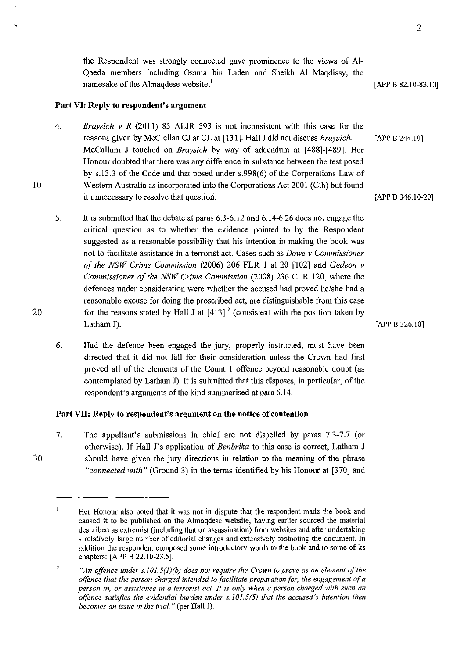the Respondent was strongly connected gave prominence to the views of Al-Qaeda members including Osama bin Laden and Sheikh AI Maqdissy, the namesake of the Almaqdese website.<sup>1</sup>  $[APP B 82.10-83.10]$ 

## **Part VI: Reply to respondent's argument**

- 4. *Braysich v R* (2011) 85 ALJR 593 is not inconsistent with this case for the reasons given by McClellan CJ at CL at [131]. Hall J did not discuss *Braysich*. [APP B 244.10] McCallum J touched on *Braysich* by way of addendum at [488]-[489]. Her Honour doubted that there was any difference in substance between the test posed by s.l3.3 of the Code and that posed under s.998(6) of the Corporations Law of Western Australia as incorporated into the Corporations Act 2001 (Cth) but found it unnecessary to resolve that question.
- 5. It is submitted that the debate at paras 6.3-6.12 and 6.14-6.26 does not engage the critical question as to whether the evidence pointed to by the Respondent suggested as a reasonable possibility that his intention in making the book was not to facilitate assistance in a terrorist act. Cases such as *Dowe v Commissioner of the NSW Crime Commission* (2006) 206 FLR I at 20 [102] and *Gedeon v Commissioner of the NSW Crime Commission* (2008) 236 CLR 120, where the defences under consideration were whether the accused had proved he/she had a reasonable excuse for doing the proscribed act, are distinguishable from this case for the reasons stated by Hall J at  $[413]$ <sup>2</sup> (consistent with the position taken by Latham J). [APP B  $326.10$ ]
- 6. Had the defence been engaged the jury, properly instructed, must have been directed that it did not fall for their consideration unless the Crown had first proved all of the elements of the Count I offence beyond reasonable doubt (as contemplated by Latham J). It is submitted that this disposes, in particular, of the respondent's arguments of the kind summarised at para 6.14.

#### **Part VII: Reply to respondent's argument on the notice of contention**

7. The appellant's submissions in chief are not dispelled by paras 7.3-7.7 (or otherwise). If Hall J's application of *Benbrika* to this case is correct, Latham J should have given the jury directions in relation to the meaning of the phrase *"connected with"* (Ground 3) in the terms identified by his Honour at [370] and

[APP B 346.10-20]

20

30

 $\blacksquare$ Her Honour also noted that it was not in dispute that the respondent made the book and caused it to be published on the Almaqdese website, having earlier sourced the material described as extremist (including that on assassination) from websites and after undertaking a relatively large number of editorial changes and extensively footnoting the document. In addition the respondent composed some introductory words to the book and to some of its chapters: [APP B 22.10-23.5].

<sup>2</sup>  *"An offence under s.JOI.5(J)(b) does not require the Crown to prove as an element of the offence that the person charged intended to facilitate preparation for, the engagement of a person in, or assistance in a terrorist act.* **It** *is only when a person charged with such an offence satisfies the evidential burden under s.I01.5(5) that the accused's intention then becomes an issue in the trial.* " (per Hall J).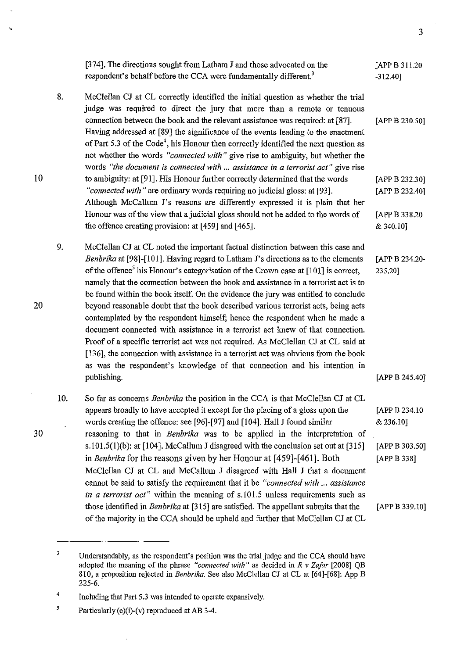|     | [374]. The directions sought from Latham J and those advocated on the<br>respondent's behalf before the CCA were fundamentally different. <sup>3</sup>                                                                                                                                                                                                                                                                                                                                                                                                                                                                                                                                                                                                                                                                                                                                                                                                                             | [APP B 311.20<br>$-312.40$ ]                                |
|-----|------------------------------------------------------------------------------------------------------------------------------------------------------------------------------------------------------------------------------------------------------------------------------------------------------------------------------------------------------------------------------------------------------------------------------------------------------------------------------------------------------------------------------------------------------------------------------------------------------------------------------------------------------------------------------------------------------------------------------------------------------------------------------------------------------------------------------------------------------------------------------------------------------------------------------------------------------------------------------------|-------------------------------------------------------------|
| 8.  | McClellan CJ at CL correctly identified the initial question as whether the trial<br>judge was required to direct the jury that more than a remote or tenuous<br>connection between the book and the relevant assistance was required: at [87].<br>Having addressed at [89] the significance of the events leading to the enactment<br>of Part 5.3 of the Code <sup>4</sup> , his Honour then correctly identified the next question as<br>not whether the words "connected with" give rise to ambiguity, but whether the<br>words "the document is connected with  assistance in a terrorist act" give rise                                                                                                                                                                                                                                                                                                                                                                       | [APP B 230.50]                                              |
|     | to ambiguity: at [91]. His Honour further correctly determined that the words<br>"connected with" are ordinary words requiring no judicial gloss: at [93].<br>Although McCallum J's reasons are differently expressed it is plain that her<br>Honour was of the view that a judicial gloss should not be added to the words of                                                                                                                                                                                                                                                                                                                                                                                                                                                                                                                                                                                                                                                     | [APP B 232.30]<br>[APP B 232.40]<br>[APP B 338.20           |
|     | the offence creating provision: at [459] and [465].                                                                                                                                                                                                                                                                                                                                                                                                                                                                                                                                                                                                                                                                                                                                                                                                                                                                                                                                | & 340.10]                                                   |
| 9.  | McClellan CJ at CL noted the important factual distinction between this case and<br>Benbrika at [98]-[101]. Having regard to Latham J's directions as to the elements<br>of the offence <sup>5</sup> his Honour's categorisation of the Crown case at [101] is correct,<br>namely that the connection between the book and assistance in a terrorist act is to<br>be found within the book itself. On the evidence the jury was entitled to conclude<br>beyond reasonable doubt that the book described various terrorist acts, being acts<br>contemplated by the respondent himself; hence the respondent when he made a<br>document connected with assistance in a terrorist act knew of that connection.<br>Proof of a specific terrorist act was not required. As McClellan CJ at CL said at<br>[136], the connection with assistance in a terrorist act was obvious from the book<br>as was the respondent's knowledge of that connection and his intention in<br>publishing. | [APP B 234.20-<br>235.20]<br>[APP B 245.40]                 |
| 10. | So far as concerns <i>Benbrika</i> the position in the CCA is that McClellan CJ at CL<br>appears broadly to have accepted it except for the placing of a gloss upon the<br>words creating the offence: see [96]-[97] and [104]. Hall J found similar<br>reasoning to that in Benbrika was to be applied in the interpretation of<br>s.101.5(1)(b): at $[104]$ . McCallum J disagreed with the conclusion set out at $[315]$<br>in Benbrika for the reasons given by her Honour at [459]-[461]. Both<br>McClellan CJ at CL and McCallum J disagreed with Hall J that a document<br>cannot be said to satisfy the requirement that it be "connected with  assistance<br>in a terrorist act" within the meaning of s.101.5 unless requirements such as                                                                                                                                                                                                                                | [APP B 234.10<br>& 236.10]<br>[APP B 303.50]<br>[APP B 338] |
|     | those identified in Benbrika at [315] are satisfied. The appellant submits that the<br>of the majority in the CCA should be upheld and further that McClellan CJ at CL                                                                                                                                                                                                                                                                                                                                                                                                                                                                                                                                                                                                                                                                                                                                                                                                             | [APP B 339.10]                                              |

<sup>3</sup>  Understandably, as the respondent's position was the trial judge and the CCA should have adopted the meaning of the phrase *"connected with"* as decided in *R v Zafar* [2008] QB 810, a proposition rejected in *Benbrika.* See also McClellan CJ at CL at [64]-[68]: App B 225-6.

 $\hat{\mathcal{A}}$ 

·.

10

20

30

 $\ddot{\phantom{0}}$ 

3

<sup>4</sup>  Including that Part 5.3 was intended to operate expansively.

*<sup>5</sup>*  Particularly (e)(i)-(v) reproduced at AB 3-4.